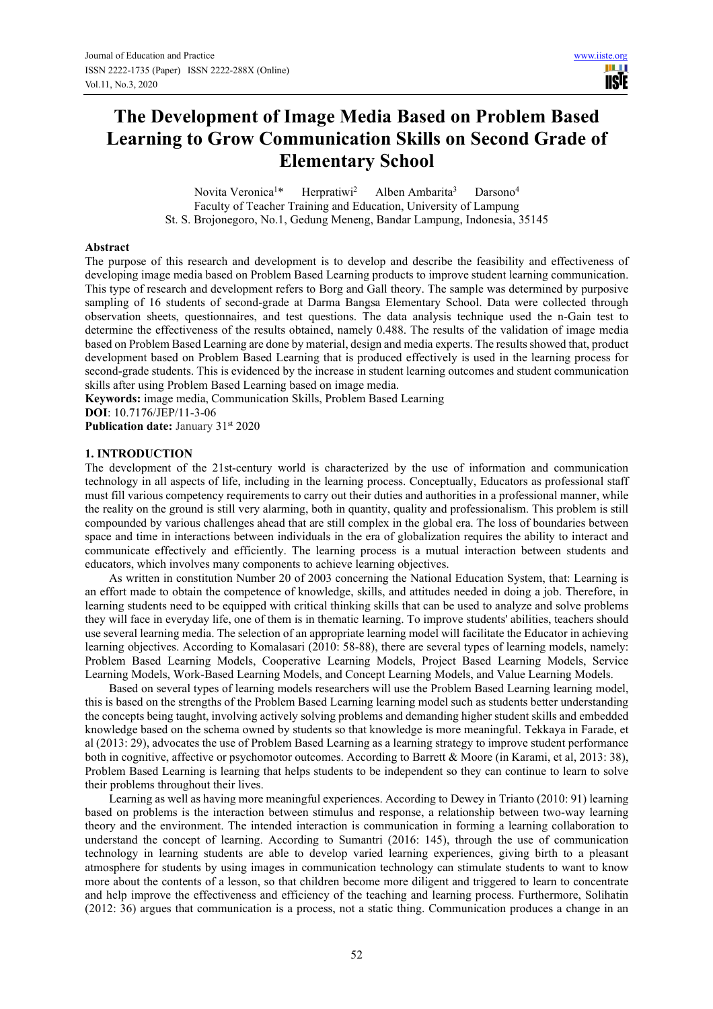W **TRIF** 

# **The Development of Image Media Based on Problem Based Learning to Grow Communication Skills on Second Grade of Elementary School**

Novita Veronica<sup>1\*</sup> Herpratiwi<sup>2</sup> Alben Ambarita<sup>3</sup> Darsono<sup>4</sup> Faculty of Teacher Training and Education, University of Lampung St. S. Brojonegoro, No.1, Gedung Meneng, Bandar Lampung, Indonesia, 35145

#### **Abstract**

The purpose of this research and development is to develop and describe the feasibility and effectiveness of developing image media based on Problem Based Learning products to improve student learning communication. This type of research and development refers to Borg and Gall theory. The sample was determined by purposive sampling of 16 students of second-grade at Darma Bangsa Elementary School. Data were collected through observation sheets, questionnaires, and test questions. The data analysis technique used the n-Gain test to determine the effectiveness of the results obtained, namely 0.488. The results of the validation of image media based on Problem Based Learning are done by material, design and media experts. The results showed that, product development based on Problem Based Learning that is produced effectively is used in the learning process for second-grade students. This is evidenced by the increase in student learning outcomes and student communication skills after using Problem Based Learning based on image media.

**Keywords:** image media, Communication Skills, Problem Based Learning **DOI**: 10.7176/JEP/11-3-06

Publication date: January 31<sup>st</sup> 2020

### **1. INTRODUCTION**

The development of the 21st-century world is characterized by the use of information and communication technology in all aspects of life, including in the learning process. Conceptually, Educators as professional staff must fill various competency requirements to carry out their duties and authorities in a professional manner, while the reality on the ground is still very alarming, both in quantity, quality and professionalism. This problem is still compounded by various challenges ahead that are still complex in the global era. The loss of boundaries between space and time in interactions between individuals in the era of globalization requires the ability to interact and communicate effectively and efficiently. The learning process is a mutual interaction between students and educators, which involves many components to achieve learning objectives.

As written in constitution Number 20 of 2003 concerning the National Education System, that: Learning is an effort made to obtain the competence of knowledge, skills, and attitudes needed in doing a job. Therefore, in learning students need to be equipped with critical thinking skills that can be used to analyze and solve problems they will face in everyday life, one of them is in thematic learning. To improve students' abilities, teachers should use several learning media. The selection of an appropriate learning model will facilitate the Educator in achieving learning objectives. According to Komalasari (2010: 58-88), there are several types of learning models, namely: Problem Based Learning Models, Cooperative Learning Models, Project Based Learning Models, Service Learning Models, Work-Based Learning Models, and Concept Learning Models, and Value Learning Models.

Based on several types of learning models researchers will use the Problem Based Learning learning model, this is based on the strengths of the Problem Based Learning learning model such as students better understanding the concepts being taught, involving actively solving problems and demanding higher student skills and embedded knowledge based on the schema owned by students so that knowledge is more meaningful. Tekkaya in Farade, et al (2013: 29), advocates the use of Problem Based Learning as a learning strategy to improve student performance both in cognitive, affective or psychomotor outcomes. According to Barrett & Moore (in Karami, et al, 2013: 38), Problem Based Learning is learning that helps students to be independent so they can continue to learn to solve their problems throughout their lives.

Learning as well as having more meaningful experiences. According to Dewey in Trianto (2010: 91) learning based on problems is the interaction between stimulus and response, a relationship between two-way learning theory and the environment. The intended interaction is communication in forming a learning collaboration to understand the concept of learning. According to Sumantri (2016: 145), through the use of communication technology in learning students are able to develop varied learning experiences, giving birth to a pleasant atmosphere for students by using images in communication technology can stimulate students to want to know more about the contents of a lesson, so that children become more diligent and triggered to learn to concentrate and help improve the effectiveness and efficiency of the teaching and learning process. Furthermore, Solihatin (2012: 36) argues that communication is a process, not a static thing. Communication produces a change in an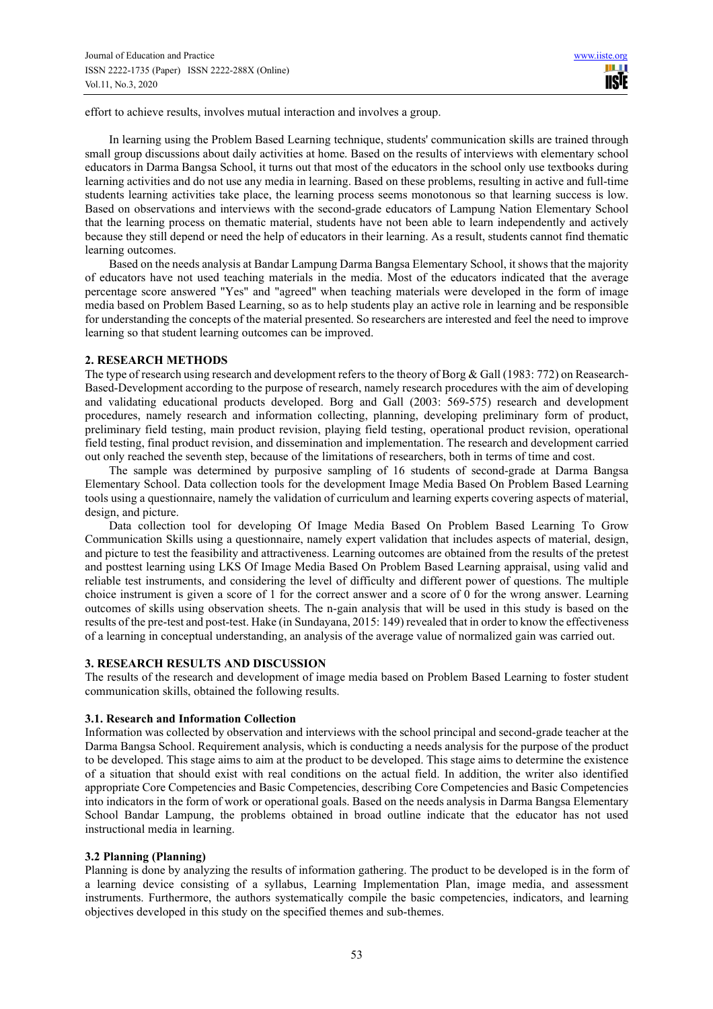effort to achieve results, involves mutual interaction and involves a group.

In learning using the Problem Based Learning technique, students' communication skills are trained through small group discussions about daily activities at home. Based on the results of interviews with elementary school educators in Darma Bangsa School, it turns out that most of the educators in the school only use textbooks during learning activities and do not use any media in learning. Based on these problems, resulting in active and full-time students learning activities take place, the learning process seems monotonous so that learning success is low. Based on observations and interviews with the second-grade educators of Lampung Nation Elementary School that the learning process on thematic material, students have not been able to learn independently and actively because they still depend or need the help of educators in their learning. As a result, students cannot find thematic learning outcomes.

Based on the needs analysis at Bandar Lampung Darma Bangsa Elementary School, it shows that the majority of educators have not used teaching materials in the media. Most of the educators indicated that the average percentage score answered "Yes" and "agreed" when teaching materials were developed in the form of image media based on Problem Based Learning, so as to help students play an active role in learning and be responsible for understanding the concepts of the material presented. So researchers are interested and feel the need to improve learning so that student learning outcomes can be improved.

### **2. RESEARCH METHODS**

The type of research using research and development refers to the theory of Borg & Gall (1983: 772) on Reasearch-Based-Development according to the purpose of research, namely research procedures with the aim of developing and validating educational products developed. Borg and Gall (2003: 569-575) research and development procedures, namely research and information collecting, planning, developing preliminary form of product, preliminary field testing, main product revision, playing field testing, operational product revision, operational field testing, final product revision, and dissemination and implementation. The research and development carried out only reached the seventh step, because of the limitations of researchers, both in terms of time and cost.

The sample was determined by purposive sampling of 16 students of second-grade at Darma Bangsa Elementary School. Data collection tools for the development Image Media Based On Problem Based Learning tools using a questionnaire, namely the validation of curriculum and learning experts covering aspects of material, design, and picture.

Data collection tool for developing Of Image Media Based On Problem Based Learning To Grow Communication Skills using a questionnaire, namely expert validation that includes aspects of material, design, and picture to test the feasibility and attractiveness. Learning outcomes are obtained from the results of the pretest and posttest learning using LKS Of Image Media Based On Problem Based Learning appraisal, using valid and reliable test instruments, and considering the level of difficulty and different power of questions. The multiple choice instrument is given a score of 1 for the correct answer and a score of 0 for the wrong answer. Learning outcomes of skills using observation sheets. The n-gain analysis that will be used in this study is based on the results of the pre-test and post-test. Hake (in Sundayana, 2015: 149) revealed that in order to know the effectiveness of a learning in conceptual understanding, an analysis of the average value of normalized gain was carried out.

#### **3. RESEARCH RESULTS AND DISCUSSION**

The results of the research and development of image media based on Problem Based Learning to foster student communication skills, obtained the following results.

#### **3.1. Research and Information Collection**

Information was collected by observation and interviews with the school principal and second-grade teacher at the Darma Bangsa School. Requirement analysis, which is conducting a needs analysis for the purpose of the product to be developed. This stage aims to aim at the product to be developed. This stage aims to determine the existence of a situation that should exist with real conditions on the actual field. In addition, the writer also identified appropriate Core Competencies and Basic Competencies, describing Core Competencies and Basic Competencies into indicators in the form of work or operational goals. Based on the needs analysis in Darma Bangsa Elementary School Bandar Lampung, the problems obtained in broad outline indicate that the educator has not used instructional media in learning.

# **3.2 Planning (Planning)**

Planning is done by analyzing the results of information gathering. The product to be developed is in the form of a learning device consisting of a syllabus, Learning Implementation Plan, image media, and assessment instruments. Furthermore, the authors systematically compile the basic competencies, indicators, and learning objectives developed in this study on the specified themes and sub-themes.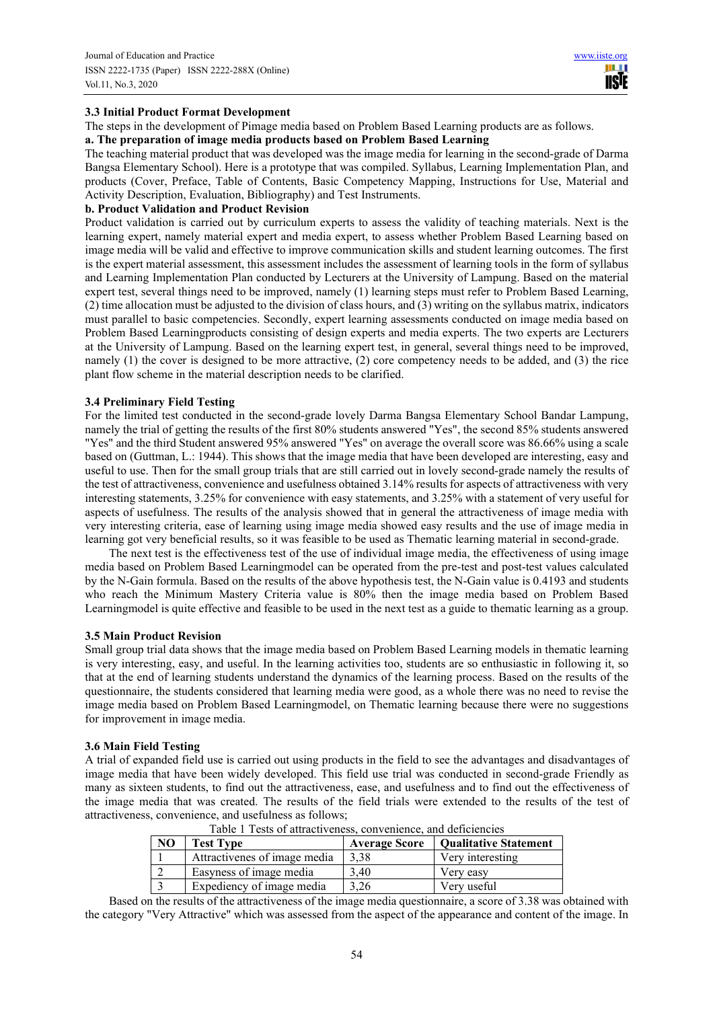## **3.3 Initial Product Format Development**

The steps in the development of Pimage media based on Problem Based Learning products are as follows. **a. The preparation of image media products based on Problem Based Learning** 

The teaching material product that was developed was the image media for learning in the second-grade of Darma Bangsa Elementary School). Here is a prototype that was compiled. Syllabus, Learning Implementation Plan, and products (Cover, Preface, Table of Contents, Basic Competency Mapping, Instructions for Use, Material and Activity Description, Evaluation, Bibliography) and Test Instruments.

#### **b. Product Validation and Product Revision**

Product validation is carried out by curriculum experts to assess the validity of teaching materials. Next is the learning expert, namely material expert and media expert, to assess whether Problem Based Learning based on image media will be valid and effective to improve communication skills and student learning outcomes. The first is the expert material assessment, this assessment includes the assessment of learning tools in the form of syllabus and Learning Implementation Plan conducted by Lecturers at the University of Lampung. Based on the material expert test, several things need to be improved, namely (1) learning steps must refer to Problem Based Learning, (2) time allocation must be adjusted to the division of class hours, and (3) writing on the syllabus matrix, indicators must parallel to basic competencies. Secondly, expert learning assessments conducted on image media based on Problem Based Learningproducts consisting of design experts and media experts. The two experts are Lecturers at the University of Lampung. Based on the learning expert test, in general, several things need to be improved, namely (1) the cover is designed to be more attractive, (2) core competency needs to be added, and (3) the rice plant flow scheme in the material description needs to be clarified.

#### **3.4 Preliminary Field Testing**

For the limited test conducted in the second-grade lovely Darma Bangsa Elementary School Bandar Lampung, namely the trial of getting the results of the first 80% students answered "Yes", the second 85% students answered "Yes" and the third Student answered 95% answered "Yes" on average the overall score was 86.66% using a scale based on (Guttman, L.: 1944). This shows that the image media that have been developed are interesting, easy and useful to use. Then for the small group trials that are still carried out in lovely second-grade namely the results of the test of attractiveness, convenience and usefulness obtained 3.14% results for aspects of attractiveness with very interesting statements, 3.25% for convenience with easy statements, and 3.25% with a statement of very useful for aspects of usefulness. The results of the analysis showed that in general the attractiveness of image media with very interesting criteria, ease of learning using image media showed easy results and the use of image media in learning got very beneficial results, so it was feasible to be used as Thematic learning material in second-grade.

The next test is the effectiveness test of the use of individual image media, the effectiveness of using image media based on Problem Based Learningmodel can be operated from the pre-test and post-test values calculated by the N-Gain formula. Based on the results of the above hypothesis test, the N-Gain value is 0.4193 and students who reach the Minimum Mastery Criteria value is 80% then the image media based on Problem Based Learningmodel is quite effective and feasible to be used in the next test as a guide to thematic learning as a group.

#### **3.5 Main Product Revision**

Small group trial data shows that the image media based on Problem Based Learning models in thematic learning is very interesting, easy, and useful. In the learning activities too, students are so enthusiastic in following it, so that at the end of learning students understand the dynamics of the learning process. Based on the results of the questionnaire, the students considered that learning media were good, as a whole there was no need to revise the image media based on Problem Based Learningmodel, on Thematic learning because there were no suggestions for improvement in image media.

#### **3.6 Main Field Testing**

A trial of expanded field use is carried out using products in the field to see the advantages and disadvantages of image media that have been widely developed. This field use trial was conducted in second-grade Friendly as many as sixteen students, to find out the attractiveness, ease, and usefulness and to find out the effectiveness of the image media that was created. The results of the field trials were extended to the results of the test of attractiveness, convenience, and usefulness as follows;

| Tuble 1 Tests of attractiveless, convenience, and actividibles |                              |                      |                              |  |  |  |
|----------------------------------------------------------------|------------------------------|----------------------|------------------------------|--|--|--|
| N <sub>O</sub>                                                 | <b>Test Type</b>             | <b>Average Score</b> | <b>Qualitative Statement</b> |  |  |  |
|                                                                | Attractivenes of image media | 3.38                 | Very interesting             |  |  |  |
|                                                                | Easyness of image media      | 3.40                 | Very easy                    |  |  |  |
|                                                                | Expediency of image media    | 3.26                 | Very useful                  |  |  |  |

|  | Table 1 Tests of attractiveness, convenience, and deficiencies |  |
|--|----------------------------------------------------------------|--|
|  |                                                                |  |

Based on the results of the attractiveness of the image media questionnaire, a score of 3.38 was obtained with the category "Very Attractive" which was assessed from the aspect of the appearance and content of the image. In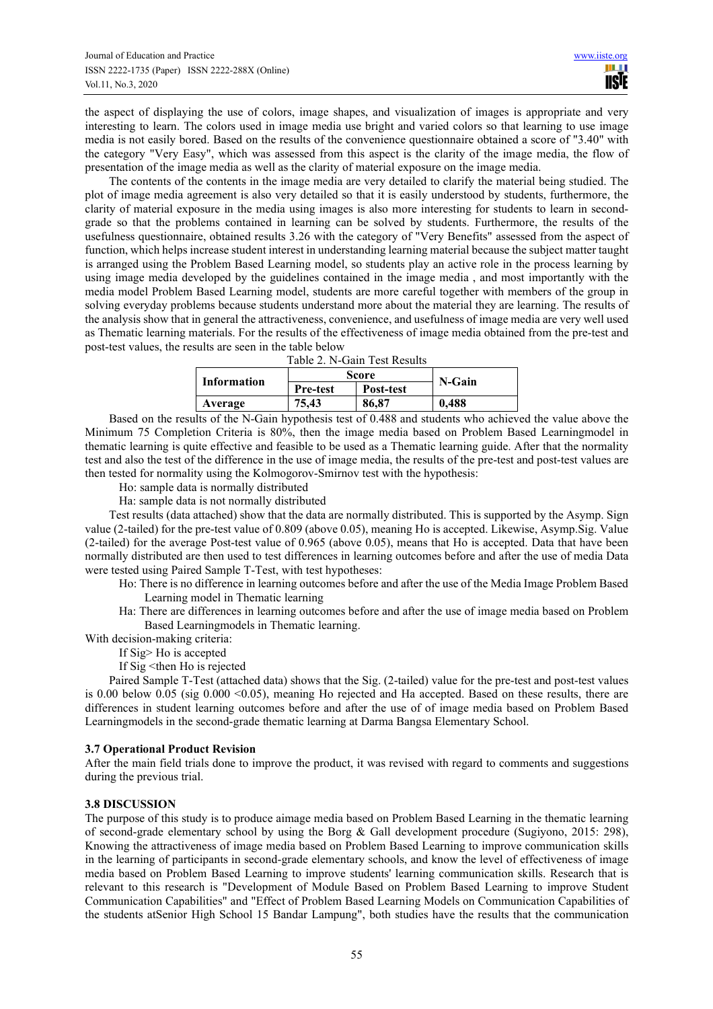the aspect of displaying the use of colors, image shapes, and visualization of images is appropriate and very interesting to learn. The colors used in image media use bright and varied colors so that learning to use image media is not easily bored. Based on the results of the convenience questionnaire obtained a score of "3.40" with the category "Very Easy", which was assessed from this aspect is the clarity of the image media, the flow of presentation of the image media as well as the clarity of material exposure on the image media.

The contents of the contents in the image media are very detailed to clarify the material being studied. The plot of image media agreement is also very detailed so that it is easily understood by students, furthermore, the clarity of material exposure in the media using images is also more interesting for students to learn in secondgrade so that the problems contained in learning can be solved by students. Furthermore, the results of the usefulness questionnaire, obtained results 3.26 with the category of "Very Benefits" assessed from the aspect of function, which helps increase student interest in understanding learning material because the subject matter taught is arranged using the Problem Based Learning model, so students play an active role in the process learning by using image media developed by the guidelines contained in the image media , and most importantly with the media model Problem Based Learning model, students are more careful together with members of the group in solving everyday problems because students understand more about the material they are learning. The results of the analysis show that in general the attractiveness, convenience, and usefulness of image media are very well used as Thematic learning materials. For the results of the effectiveness of image media obtained from the pre-test and post-test values, the results are seen in the table below

| Table 2. N-Gain Test Results                         |                 |           |        |  |  |  |  |
|------------------------------------------------------|-----------------|-----------|--------|--|--|--|--|
| Information                                          | Score           |           | N-Gain |  |  |  |  |
|                                                      | <b>Pre-test</b> | Post-test |        |  |  |  |  |
| Average                                              | 75.43           | 86.87     | 0.488  |  |  |  |  |
| $\cdots$ are $\cdots$ and $\cdots$ and $\cdots$<br>. |                 |           |        |  |  |  |  |

Based on the results of the N-Gain hypothesis test of 0.488 and students who achieved the value above the Minimum 75 Completion Criteria is 80%, then the image media based on Problem Based Learningmodel in thematic learning is quite effective and feasible to be used as a Thematic learning guide. After that the normality test and also the test of the difference in the use of image media, the results of the pre-test and post-test values are then tested for normality using the Kolmogorov-Smirnov test with the hypothesis:

Ho: sample data is normally distributed

Ha: sample data is not normally distributed

Test results (data attached) show that the data are normally distributed. This is supported by the Asymp. Sign value (2-tailed) for the pre-test value of 0.809 (above 0.05), meaning Ho is accepted. Likewise, Asymp.Sig. Value (2-tailed) for the average Post-test value of 0.965 (above 0.05), means that Ho is accepted. Data that have been normally distributed are then used to test differences in learning outcomes before and after the use of media Data were tested using Paired Sample T-Test, with test hypotheses:

Ho: There is no difference in learning outcomes before and after the use of the Media Image Problem Based Learning model in Thematic learning

- Ha: There are differences in learning outcomes before and after the use of image media based on Problem Based Learningmodels in Thematic learning.
- With decision-making criteria:
	- If Sig> Ho is accepted
	- If Sig <then Ho is rejected

Paired Sample T-Test (attached data) shows that the Sig. (2-tailed) value for the pre-test and post-test values is 0.00 below 0.05 (sig 0.000 < 0.05), meaning Ho rejected and Ha accepted. Based on these results, there are differences in student learning outcomes before and after the use of of image media based on Problem Based Learningmodels in the second-grade thematic learning at Darma Bangsa Elementary School.

# **3.7 Operational Product Revision**

After the main field trials done to improve the product, it was revised with regard to comments and suggestions during the previous trial.

# **3.8 DISCUSSION**

The purpose of this study is to produce aimage media based on Problem Based Learning in the thematic learning of second-grade elementary school by using the Borg & Gall development procedure (Sugiyono, 2015: 298), Knowing the attractiveness of image media based on Problem Based Learning to improve communication skills in the learning of participants in second-grade elementary schools, and know the level of effectiveness of image media based on Problem Based Learning to improve students' learning communication skills. Research that is relevant to this research is "Development of Module Based on Problem Based Learning to improve Student Communication Capabilities" and "Effect of Problem Based Learning Models on Communication Capabilities of the students atSenior High School 15 Bandar Lampung", both studies have the results that the communication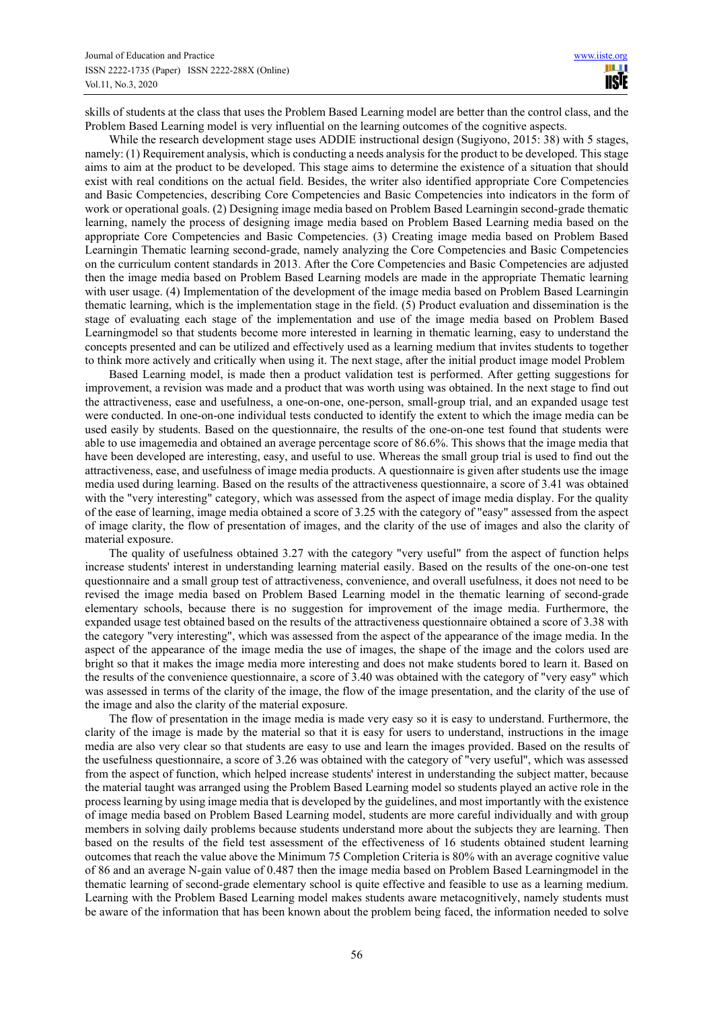skills of students at the class that uses the Problem Based Learning model are better than the control class, and the Problem Based Learning model is very influential on the learning outcomes of the cognitive aspects.

While the research development stage uses ADDIE instructional design (Sugiyono, 2015: 38) with 5 stages, namely: (1) Requirement analysis, which is conducting a needs analysis for the product to be developed. This stage aims to aim at the product to be developed. This stage aims to determine the existence of a situation that should exist with real conditions on the actual field. Besides, the writer also identified appropriate Core Competencies and Basic Competencies, describing Core Competencies and Basic Competencies into indicators in the form of work or operational goals. (2) Designing image media based on Problem Based Learningin second-grade thematic learning, namely the process of designing image media based on Problem Based Learning media based on the appropriate Core Competencies and Basic Competencies. (3) Creating image media based on Problem Based Learningin Thematic learning second-grade, namely analyzing the Core Competencies and Basic Competencies on the curriculum content standards in 2013. After the Core Competencies and Basic Competencies are adjusted then the image media based on Problem Based Learning models are made in the appropriate Thematic learning with user usage. (4) Implementation of the development of the image media based on Problem Based Learningin thematic learning, which is the implementation stage in the field. (5) Product evaluation and dissemination is the stage of evaluating each stage of the implementation and use of the image media based on Problem Based Learningmodel so that students become more interested in learning in thematic learning, easy to understand the concepts presented and can be utilized and effectively used as a learning medium that invites students to together to think more actively and critically when using it. The next stage, after the initial product image model Problem

Based Learning model, is made then a product validation test is performed. After getting suggestions for improvement, a revision was made and a product that was worth using was obtained. In the next stage to find out the attractiveness, ease and usefulness, a one-on-one, one-person, small-group trial, and an expanded usage test were conducted. In one-on-one individual tests conducted to identify the extent to which the image media can be used easily by students. Based on the questionnaire, the results of the one-on-one test found that students were able to use imagemedia and obtained an average percentage score of 86.6%. This shows that the image media that have been developed are interesting, easy, and useful to use. Whereas the small group trial is used to find out the attractiveness, ease, and usefulness of image media products. A questionnaire is given after students use the image media used during learning. Based on the results of the attractiveness questionnaire, a score of 3.41 was obtained with the "very interesting" category, which was assessed from the aspect of image media display. For the quality of the ease of learning, image media obtained a score of 3.25 with the category of "easy" assessed from the aspect of image clarity, the flow of presentation of images, and the clarity of the use of images and also the clarity of material exposure.

The quality of usefulness obtained 3.27 with the category "very useful" from the aspect of function helps increase students' interest in understanding learning material easily. Based on the results of the one-on-one test questionnaire and a small group test of attractiveness, convenience, and overall usefulness, it does not need to be revised the image media based on Problem Based Learning model in the thematic learning of second-grade elementary schools, because there is no suggestion for improvement of the image media. Furthermore, the expanded usage test obtained based on the results of the attractiveness questionnaire obtained a score of 3.38 with the category "very interesting", which was assessed from the aspect of the appearance of the image media. In the aspect of the appearance of the image media the use of images, the shape of the image and the colors used are bright so that it makes the image media more interesting and does not make students bored to learn it. Based on the results of the convenience questionnaire, a score of 3.40 was obtained with the category of "very easy" which was assessed in terms of the clarity of the image, the flow of the image presentation, and the clarity of the use of the image and also the clarity of the material exposure.

The flow of presentation in the image media is made very easy so it is easy to understand. Furthermore, the clarity of the image is made by the material so that it is easy for users to understand, instructions in the image media are also very clear so that students are easy to use and learn the images provided. Based on the results of the usefulness questionnaire, a score of 3.26 was obtained with the category of "very useful", which was assessed from the aspect of function, which helped increase students' interest in understanding the subject matter, because the material taught was arranged using the Problem Based Learning model so students played an active role in the process learning by using image media that is developed by the guidelines, and most importantly with the existence of image media based on Problem Based Learning model, students are more careful individually and with group members in solving daily problems because students understand more about the subjects they are learning. Then based on the results of the field test assessment of the effectiveness of 16 students obtained student learning outcomes that reach the value above the Minimum 75 Completion Criteria is 80% with an average cognitive value of 86 and an average N-gain value of 0.487 then the image media based on Problem Based Learningmodel in the thematic learning of second-grade elementary school is quite effective and feasible to use as a learning medium. Learning with the Problem Based Learning model makes students aware metacognitively, namely students must be aware of the information that has been known about the problem being faced, the information needed to solve